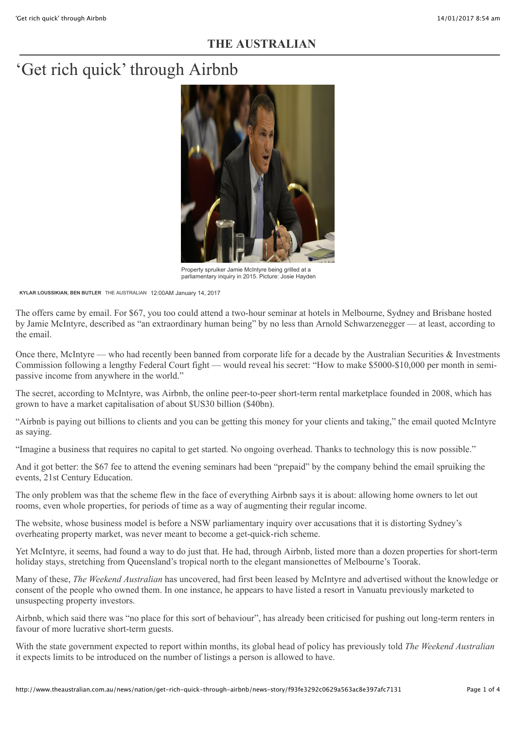### **THE AUSTRALIAN**

# 'Get rich quick' through Airbnb



Property spruiker Jamie McIntyre being grilled at a [parliamentary inquiry in 2015. Picture: Josie Hayden](http://www.theaustralian.com.au/news/nation/get-rich-quick-through-airbnb/news-story/f93fe3292c0629a563ac8e397afc7131#)

**[KYLAR LOUSSIKIAN,](http://www.theaustralian.com.au/author/Kylar+Loussikian) [BEN BUTLER](http://www.theaustralian.com.au/author/Ben+Butler)** THE AUSTRALIAN 12:00AM January 14, 2017

The offers came by email. For \$67, you too could attend a two-hour seminar at hotels in Melbourne, Sydney and Brisbane hosted by Jamie McIntyre, described as "an extraordinary human being" by no less than Arnold Schwarzenegger — at least, according to the email.

Once there, McIntyre — who had recently been banned from corporate life for a decade by the Australian Securities  $\&$  Investments Commission following a lengthy Federal Court fight — would reveal his secret: "How to make \$5000-\$10,000 per month in semipassive income from anywhere in the world."

The secret, according to McIntyre, was Airbnb, the online peer-to-peer short-term rental marketplace founded in 2008, which has grown to have a market capitalisation of about \$US30 billion (\$40bn).

"Airbnb is paying out billions to clients and you can be getting this money for your clients and taking," the email quoted McIntyre as saying.

"Imagine a business that requires no capital to get started. No ongoing overhead. Thanks to technology this is now possible."

And it got better: the \$67 fee to attend the evening seminars had been "prepaid" by the company behind the email spruiking the events, 21st Century Education.

The only problem was that the scheme flew in the face of everything Airbnb says it is about: allowing home owners to let out rooms, even whole properties, for periods of time as a way of augmenting their regular income.

The website, whose business model is before a NSW parliamentary inquiry over accusations that it is distorting Sydney's overheating property market, was never meant to become a get-quick-rich scheme.

Yet McIntyre, it seems, had found a way to do just that. He had, through Airbnb, listed more than a dozen properties for short-term holiday stays, stretching from Queensland's tropical north to the elegant mansionettes of Melbourne's Toorak.

Many of these, *The Weekend Australian* has uncovered, had first been leased by McIntyre and advertised without the knowledge or consent of the people who owned them. In one instance, he appears to have listed a resort in Vanuatu previously marketed to unsuspecting property investors.

Airbnb, which said there was "no place for this sort of behaviour", has already been criticised for pushing out long-term renters in favour of more lucrative short-term guests.

With the state government expected to report within months, its global head of policy has previously told *The Weekend Australian* it expects limits to be introduced on the number of listings a person is allowed to have.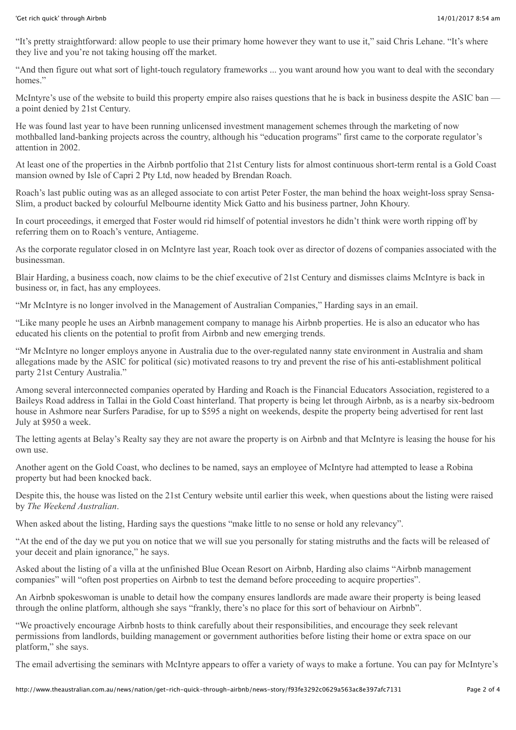"It's pretty straightforward: allow people to use their primary home however they want to use it," said Chris Lehane. "It's where they live and you're not taking housing off the market.

"And then figure out what sort of light-touch regulatory frameworks ... you want around how you want to deal with the secondary homes<sup>"</sup>

McIntyre's use of the website to build this property empire also raises questions that he is back in business despite the ASIC ban a point denied by 21st Century.

He was found last year to have been running unlicensed investment management schemes through the marketing of now mothballed land-banking projects across the country, although his "education programs" first came to the corporate regulator's attention in 2002.

At least one of the properties in the Airbnb portfolio that 21st Century lists for almost continuous short-term rental is a Gold Coast mansion owned by Isle of Capri 2 Pty Ltd, now headed by Brendan Roach.

Roach's last public outing was as an alleged associate to con artist Peter Foster, the man behind the hoax weight-loss spray Sensa-Slim, a product backed by colourful Melbourne identity Mick Gatto and his business partner, John Khoury.

In court proceedings, it emerged that Foster would rid himself of potential investors he didn't think were worth ripping off by referring them on to Roach's venture, Antiageme.

As the corporate regulator closed in on McIntyre last year, Roach took over as director of dozens of companies associated with the businessman.

Blair Harding, a business coach, now claims to be the chief executive of 21st Century and dismisses claims McIntyre is back in business or, in fact, has any employees.

"Mr McIntyre is no longer involved in the Management of Australian Companies," Harding says in an email.

"Like many people he uses an Airbnb management company to manage his Airbnb properties. He is also an educator who has educated his clients on the potential to profit from Airbnb and new emerging trends.

"Mr McIntyre no longer employs anyone in Australia due to the over-regulated nanny state environment in Australia and sham allegations made by the ASIC for political (sic) motivated reasons to try and prevent the rise of his anti-establishment political party 21st Century Australia."

Among several interconnected companies operated by Harding and Roach is the Financial Educators Association, registered to a Baileys Road address in Tallai in the Gold Coast hinterland. That property is being let through Airbnb, as is a nearby six-bedroom house in Ashmore near Surfers Paradise, for up to \$595 a night on weekends, despite the property being advertised for rent last July at \$950 a week.

The letting agents at Belay's Realty say they are not aware the property is on Airbnb and that McIntyre is leasing the house for his own use.

Another agent on the Gold Coast, who declines to be named, says an employee of McIntyre had attempted to lease a Robina property but had been knocked back.

Despite this, the house was listed on the 21st Century website until earlier this week, when questions about the listing were raised by *The Weekend Australian*.

When asked about the listing, Harding says the questions "make little to no sense or hold any relevancy".

"At the end of the day we put you on notice that we will sue you personally for stating mistruths and the facts will be released of your deceit and plain ignorance," he says.

Asked about the listing of a villa at the unfinished Blue Ocean Resort on Airbnb, Harding also claims "Airbnb management companies" will "often post properties on Airbnb to test the demand before proceeding to acquire properties".

An Airbnb spokeswoman is unable to detail how the company ensures landlords are made aware their property is being leased through the online platform, although she says "frankly, there's no place for this sort of behaviour on Airbnb".

"We proactively encourage Airbnb hosts to think carefully about their responsibilities, and encourage they seek relevant permissions from landlords, building management or government authorities before listing their home or extra space on our platform," she says.

The email advertising the seminars with McIntyre appears to offer a variety of ways to make a fortune. You can pay for McIntyre's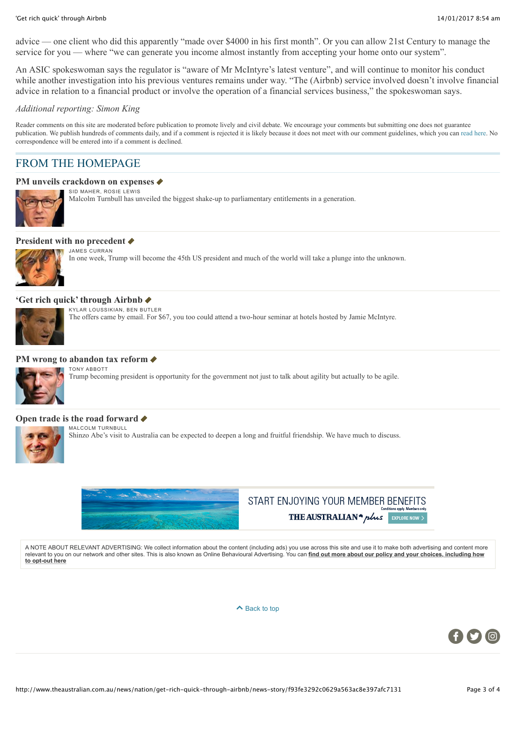#### 'Get rich quick' through Airbnb 14/01/2017 8:54 am

advice — one client who did this apparently "made over \$4000 in his first month". Or you can allow 21st Century to manage the service for you — where "we can generate you income almost instantly from accepting your home onto our system".

An ASIC spokeswoman says the regulator is "aware of Mr McIntyre's latest venture", and will continue to monitor his conduct while another investigation into his previous ventures remains under way. "The (Airbnb) service involved doesn't involve financial advice in relation to a financial product or involve the operation of a financial services business," the spokeswoman says.

#### *Additional reporting: Simon King*

Reader comments on this site are moderated before publication to promote lively and civil debate. We encourage your comments but submitting one does not guarantee publication. We publish hundreds of comments daily, and if a comment is rejected it is likely because it does not meet with our comment guidelines, which you can [read here.](http://www.theaustralian.com.au/help#comment_not_published) No correspondence will be entered into if a comment is declined.

### FROM THE HOMEPAGE

#### **PM** unveils crackdown on expenses ♦



SID MAHER, ROSIE LEWIS Malcolm Turnbull has unveiled the biggest shake-up to parliamentary entitlements in a generation.

#### **[President with no precedent](http://www.theaustralian.com.au/news/inquirer/an-unprecedented-president-world-awaits-donald-trump/news-story/b4548edab9e7ab29cb5baebcd50d404b)**



In one week, Trump will become the 45th US president and much of the world will take a plunge into the unknown.

#### **['Get rich quick' through Airbnb](http://www.theaustralian.com.au/news/nation/get-rich-quick-through-airbnb/news-story/f93fe3292c0629a563ac8e397afc7131)** J

JAMES CURRAN

KYLAR LOUSSIKIAN, BEN BUTLER

The offers came by email. For \$67, you too could attend a two-hour seminar at hotels hosted by Jamie McIntyre.

#### **PM** wrong to abandon tax reform ♦



TONY ABBOTT Trump becoming president is opportunity for the government not just to talk about agility but actually to be agile.

#### **[Open trade is the road forward](http://www.theaustralian.com.au/news/inquirer/shinzo-abes-visit-will-strengthen-australias-ties-with-japan/news-story/cd5cd6364922fd0696a6e132b11d8e5c) ♦**



MALCOLM TURNBULL Shinzo Abe's visit to Australia can be expected to deepen a long and fruitful friendship. We have much to discuss.



## START ENJOYING YOUR MEMBER BENEFITS THE AUSTRALIAN<sup>4</sup> plus EXPLORE NOW

A NOTE ABOUT RELEVANT ADVERTISING: We collect information about the content (including ads) you use across this site and use it to make both advertising and content more [relevant to you on our network and other sites. This is also known as Online Behavioural Advertising. You can](http://www.newscorpaustraliaprivacy.com/) **find out more about our policy and your choices, including how to opt-out here**

 $\triangle$  [Back to top](http://www.theaustralian.com.au/news/nation/get-rich-quick-through-airbnb/news-story/f93fe3292c0629a563ac8e397afc7131#)